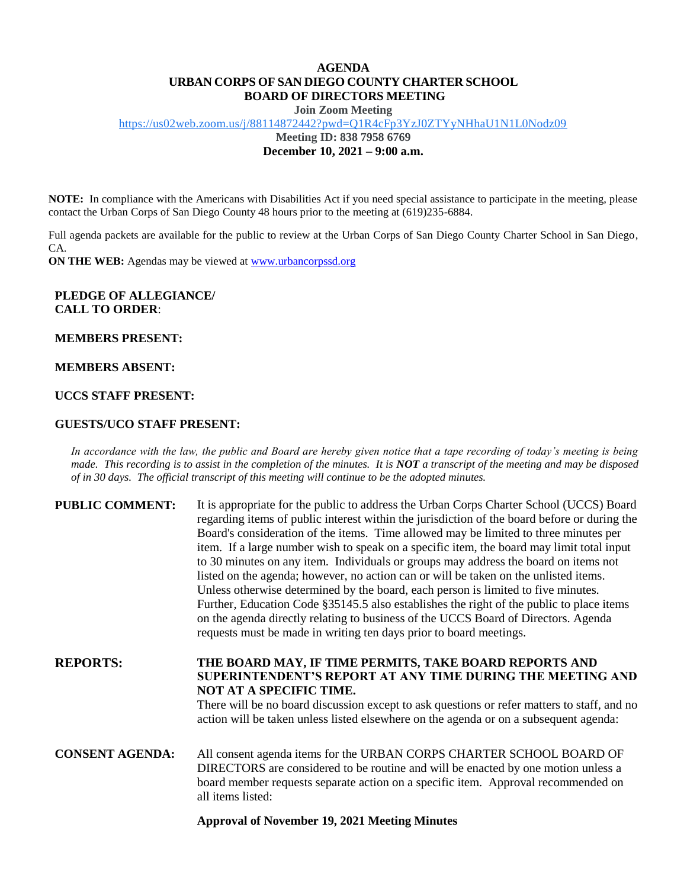## **AGENDA URBAN CORPS OF SAN DIEGO COUNTY CHARTER SCHOOL BOARD OF DIRECTORS MEETING**

**Join Zoom Meeting**

<https://us02web.zoom.us/j/88114872442?pwd=Q1R4cFp3YzJ0ZTYyNHhaU1N1L0Nodz09>

**Meeting ID: 838 7958 6769**

**December 10, 2021 – 9:00 a.m.**

**NOTE:** In compliance with the Americans with Disabilities Act if you need special assistance to participate in the meeting, please contact the Urban Corps of San Diego County 48 hours prior to the meeting at (619)235-6884.

Full agenda packets are available for the public to review at the Urban Corps of San Diego County Charter School in San Diego, CA.

**ON THE WEB:** Agendas may be viewed a[t www.urbancorpssd.org](http://www.urbancorpssd.org/)

### **PLEDGE OF ALLEGIANCE/ CALL TO ORDER**:

**MEMBERS PRESENT:**

#### **MEMBERS ABSENT:**

### **UCCS STAFF PRESENT:**

### **GUESTS/UCO STAFF PRESENT:**

*In accordance with the law, the public and Board are hereby given notice that a tape recording of today's meeting is being made. This recording is to assist in the completion of the minutes. It is NOT a transcript of the meeting and may be disposed of in 30 days. The official transcript of this meeting will continue to be the adopted minutes.*

| <b>PUBLIC COMMENT:</b> | It is appropriate for the public to address the Urban Corps Charter School (UCCS) Board<br>regarding items of public interest within the jurisdiction of the board before or during the<br>Board's consideration of the items. Time allowed may be limited to three minutes per<br>item. If a large number wish to speak on a specific item, the board may limit total input<br>to 30 minutes on any item. Individuals or groups may address the board on items not<br>listed on the agenda; however, no action can or will be taken on the unlisted items.<br>Unless otherwise determined by the board, each person is limited to five minutes.<br>Further, Education Code §35145.5 also establishes the right of the public to place items<br>on the agenda directly relating to business of the UCCS Board of Directors. Agenda<br>requests must be made in writing ten days prior to board meetings. |
|------------------------|----------------------------------------------------------------------------------------------------------------------------------------------------------------------------------------------------------------------------------------------------------------------------------------------------------------------------------------------------------------------------------------------------------------------------------------------------------------------------------------------------------------------------------------------------------------------------------------------------------------------------------------------------------------------------------------------------------------------------------------------------------------------------------------------------------------------------------------------------------------------------------------------------------|
| <b>REPORTS:</b>        | THE BOARD MAY, IF TIME PERMITS, TAKE BOARD REPORTS AND<br>SUPERINTENDENT'S REPORT AT ANY TIME DURING THE MEETING AND<br>NOT AT A SPECIFIC TIME.<br>There will be no board discussion except to ask questions or refer matters to staff, and no<br>action will be taken unless listed elsewhere on the agenda or on a subsequent agenda:                                                                                                                                                                                                                                                                                                                                                                                                                                                                                                                                                                  |
| <b>CONSENT AGENDA:</b> | All consent agenda items for the URBAN CORPS CHARTER SCHOOL BOARD OF<br>DIRECTORS are considered to be routine and will be enacted by one motion unless a<br>board member requests separate action on a specific item. Approval recommended on<br>all items listed:                                                                                                                                                                                                                                                                                                                                                                                                                                                                                                                                                                                                                                      |

### **Approval of November 19, 2021 Meeting Minutes**